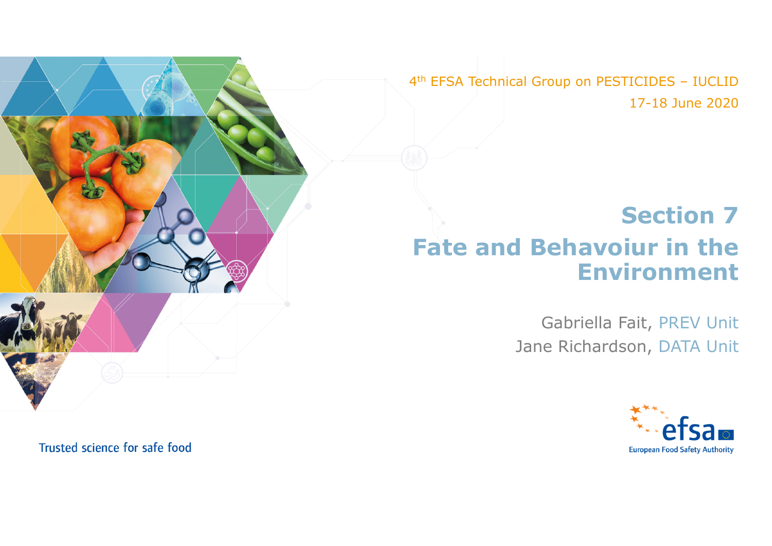4th EFSA Technical Group on PESTICIDES – IUCLID 17-18 June 2020

## **Section 7 Fate and Behavoiur in the Environment**

Gabriella Fait, PREV Unit Jane Richardson, DATA Unit



Trusted science for safe food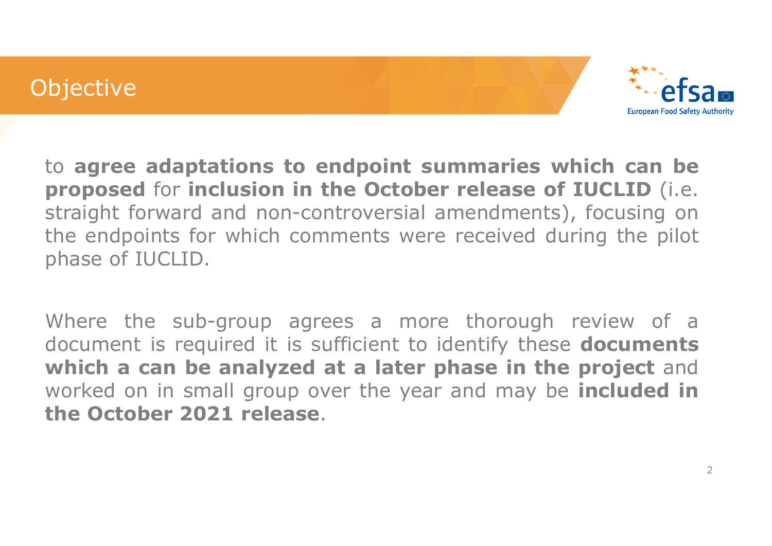## **Objective**



to **agree adaptations to endpoint summaries which can be proposed** for **inclusion in the October release of IUCLID** (i.e. straight forward and non-controversial amendments), focusing on the endpoints for which comments were received during the pilot phase of IUCLID.

Where the sub-group agrees a more thorough review of a document is required it is sufficient to identify these **documents which a can be analyzed at a later phase in the project** and worked on in small group over the year and may be **included in the October 2021 release**.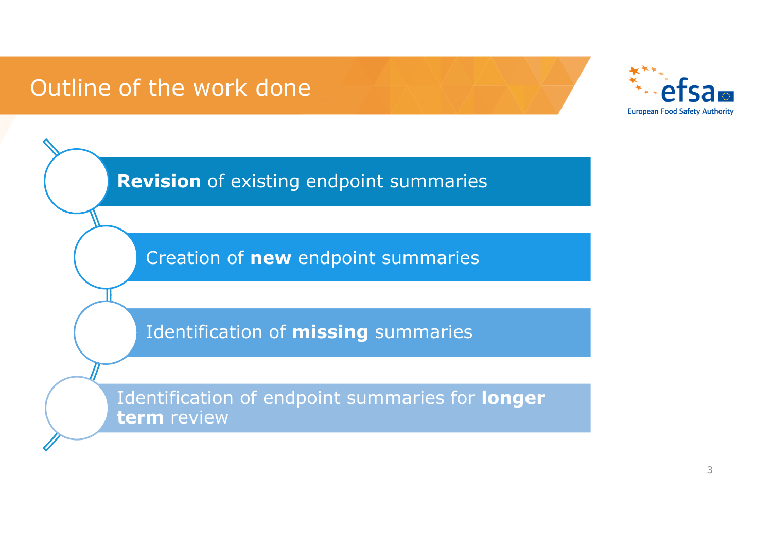## Outline of the work done



**Revision** of existing endpoint summaries

Creation of **new** endpoint summaries

Identification of **missing** summaries

Identification of endpoint summaries for **longer term** review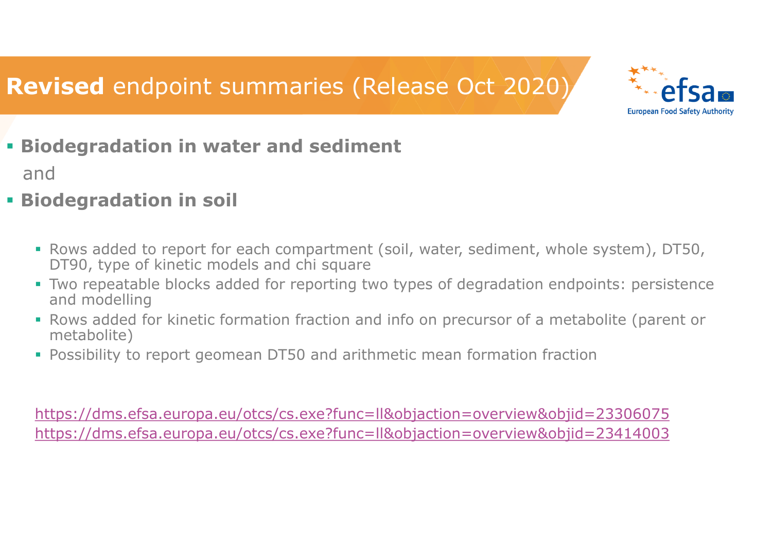# **Revised** endpoint summaries (Release Oct 2020)



**Biodegradation in water and sediment** 

and

- **Biodegradation in soil** 
	- Rows added to report for each compartment (soil, water, sediment, whole system), DT50, DT90, type of kinetic models and chi square
	- Two repeatable blocks added for reporting two types of degradation endpoints: persistence and modelling
	- Rows added for kinetic formation fraction and info on precursor of a metabolite (parent or metabolite)
	- Possibility to report geomean DT50 and arithmetic mean formation fraction

https://dms.efsa.europa.eu/otcs/cs.exe?func=ll&objaction=overview&objid=23306075 https://dms.efsa.europa.eu/otcs/cs.exe?func=ll&objaction=overview&objid=23414003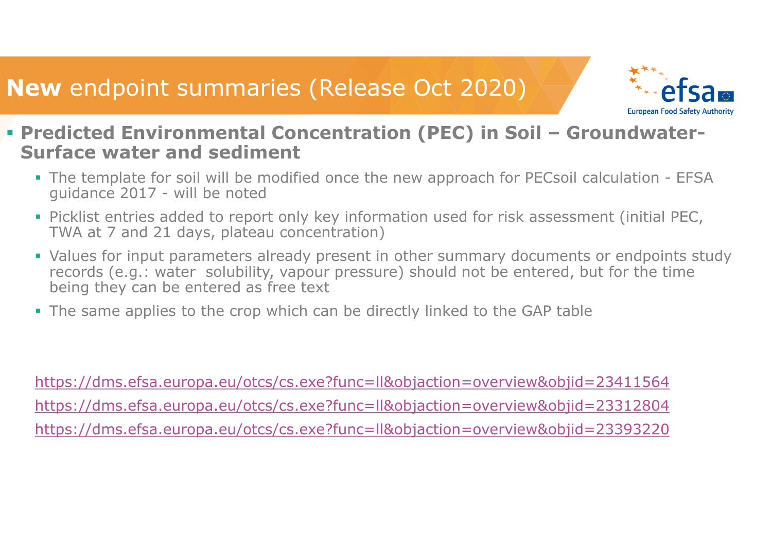## **New** endpoint summaries (Release Oct 2020)



- **Predicted Environmental Concentration (PEC) in Soil Groundwater-Surface water and sediment**
	- The template for soil will be modified once the new approach for PECsoil calculation EFSA guidance 2017 - will be noted
	- Picklist entries added to report only key information used for risk assessment (initial PEC, TWA at 7 and 21 days, plateau concentration)
	- Values for input parameters already present in other summary documents or endpoints study records (e.g.: water solubility, vapour pressure) should not be entered, but for the time being they can be entered as free text
	- The same applies to the crop which can be directly linked to the GAP table

https://dms.efsa.europa.eu/otcs/cs.exe?func=ll&objaction=overview&objid=23411564 https://dms.efsa.europa.eu/otcs/cs.exe?func=ll&objaction=overview&objid=23312804 https://dms.efsa.europa.eu/otcs/cs.exe?func=ll&objaction=overview&objid=23393220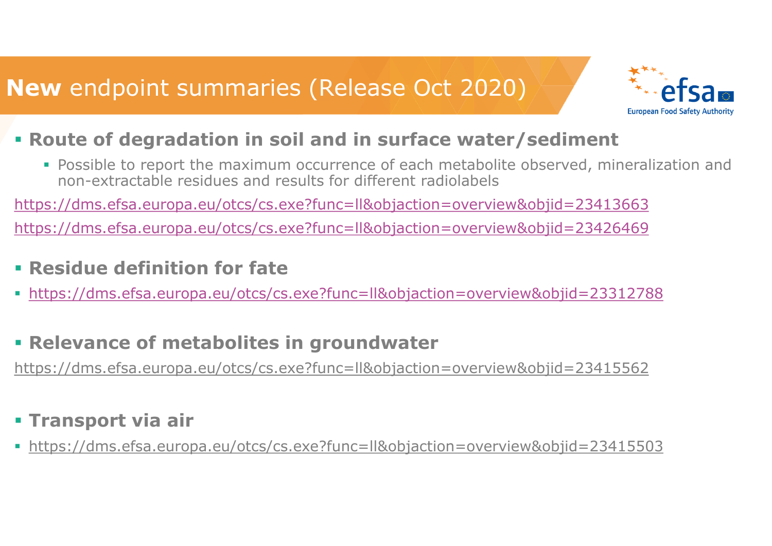

### **Route of degradation in soil and in surface water/sediment**

 Possible to report the maximum occurrence of each metabolite observed, mineralization and non-extractable residues and results for different radiolabels

https://dms.efsa.europa.eu/otcs/cs.exe?func=ll&objaction=overview&objid=23413663

https://dms.efsa.europa.eu/otcs/cs.exe?func=ll&objaction=overview&objid=23426469

- **Residue definition for fate**
- https://dms.efsa.europa.eu/otcs/cs.exe?func=ll&objaction=overview&objid=23312788
- **Relevance of metabolites in groundwater**

https://dms.efsa.europa.eu/otcs/cs.exe?func=ll&objaction=overview&objid=23415562

### **Transport via air**

https://dms.efsa.europa.eu/otcs/cs.exe?func=ll&objaction=overview&objid=23415503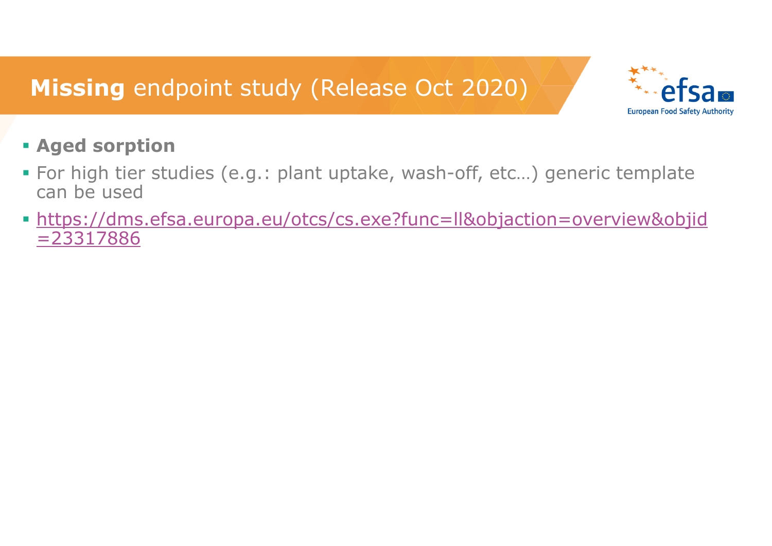

### **Aged sorption**

- For high tier studies (e.g.: plant uptake, wash-off, etc…) generic template can be used
- https://dms.efsa.europa.eu/otcs/cs.exe?func=ll&objaction=overview&objid =23317886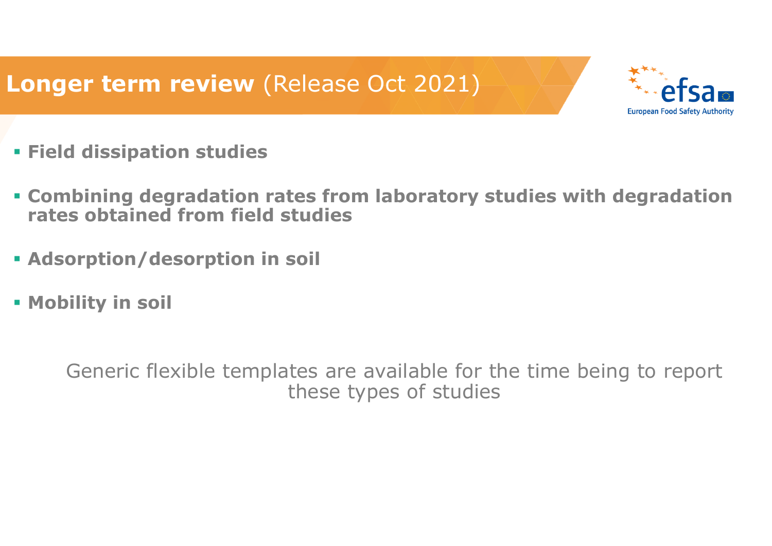# **Longer term review** (Release Oct 2021)



- **Field dissipation studies**
- **Combining degradation rates from laboratory studies with degradation rates obtained from field studies**
- **Adsorption/desorption in soil**
- **Mobility in soil**

Generic flexible templates are available for the time being to report these types of studies